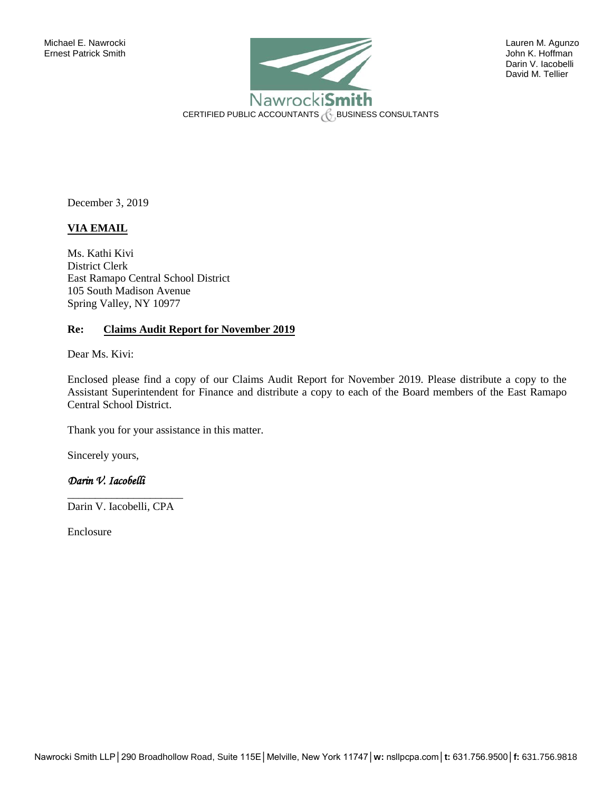

 Darin V. Iacobelli David M. Tellier

December 3, 2019

# **VIA EMAIL**

Ms. Kathi Kivi District Clerk East Ramapo Central School District 105 South Madison Avenue Spring Valley, NY 10977

## **Re: Claims Audit Report for November 2019**

Dear Ms. Kivi:

Enclosed please find a copy of our Claims Audit Report for November 2019. Please distribute a copy to the Assistant Superintendent for Finance and distribute a copy to each of the Board members of the East Ramapo Central School District.

Thank you for your assistance in this matter.

Sincerely yours,

## *Darin V. Iacobelli*

\_\_\_\_\_\_\_\_\_\_\_\_\_\_\_\_\_\_\_\_\_ Darin V. Iacobelli, CPA

Enclosure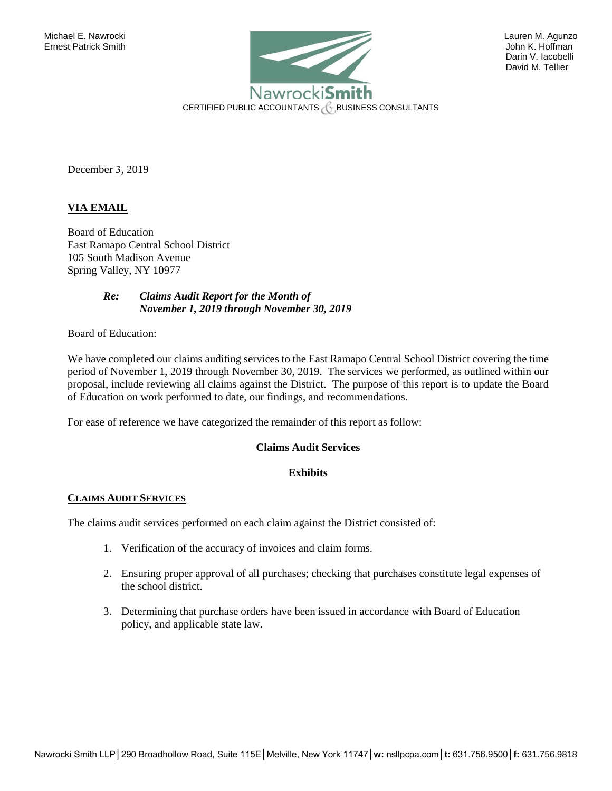

 Darin V. Iacobelli David M. Tellier

December 3, 2019

## **VIA EMAIL**

Board of Education East Ramapo Central School District 105 South Madison Avenue Spring Valley, NY 10977

> *Re: Claims Audit Report for the Month of November 1, 2019 through November 30, 2019*

Board of Education:

We have completed our claims auditing services to the East Ramapo Central School District covering the time period of November 1, 2019 through November 30, 2019. The services we performed, as outlined within our proposal, include reviewing all claims against the District. The purpose of this report is to update the Board of Education on work performed to date, our findings, and recommendations.

For ease of reference we have categorized the remainder of this report as follow:

## **Claims Audit Services**

### **Exhibits**

#### **CLAIMS AUDIT SERVICES**

The claims audit services performed on each claim against the District consisted of:

- 1. Verification of the accuracy of invoices and claim forms.
- 2. Ensuring proper approval of all purchases; checking that purchases constitute legal expenses of the school district.
- 3. Determining that purchase orders have been issued in accordance with Board of Education policy, and applicable state law.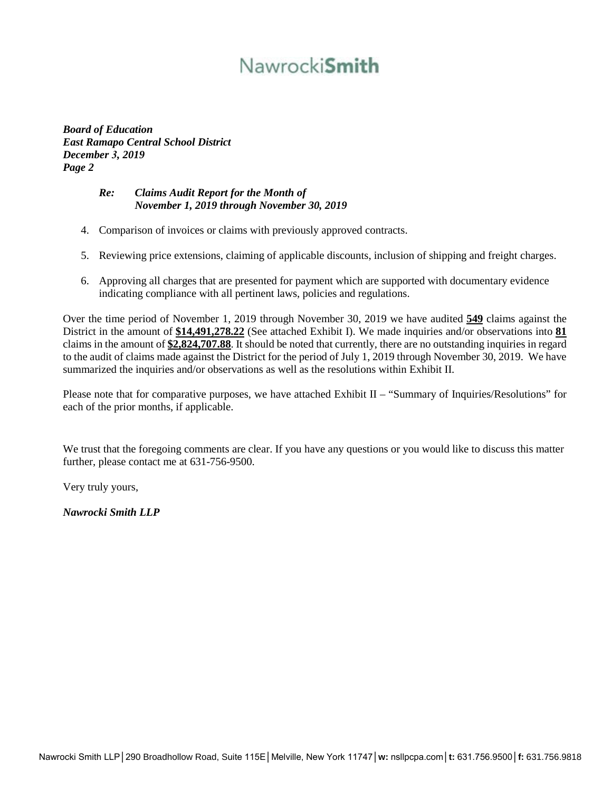# Nawrocki**Smith**

*Board of Education East Ramapo Central School District December 3, 2019 Page 2* 

## *Re: Claims Audit Report for the Month of November 1, 2019 through November 30, 2019*

- 4. Comparison of invoices or claims with previously approved contracts.
- 5. Reviewing price extensions, claiming of applicable discounts, inclusion of shipping and freight charges.
- 6. Approving all charges that are presented for payment which are supported with documentary evidence indicating compliance with all pertinent laws, policies and regulations.

Over the time period of November 1, 2019 through November 30, 2019 we have audited **549** claims against the District in the amount of **\$14,491,278.22** (See attached Exhibit I). We made inquiries and/or observations into **81** claims in the amount of **\$2,824,707.88**. It should be noted that currently, there are no outstanding inquiries in regard to the audit of claims made against the District for the period of July 1, 2019 through November 30, 2019. We have summarized the inquiries and/or observations as well as the resolutions within Exhibit II.

Please note that for comparative purposes, we have attached Exhibit II – "Summary of Inquiries/Resolutions" for each of the prior months, if applicable.

We trust that the foregoing comments are clear. If you have any questions or you would like to discuss this matter further, please contact me at 631-756-9500.

Very truly yours,

*Nawrocki Smith LLP*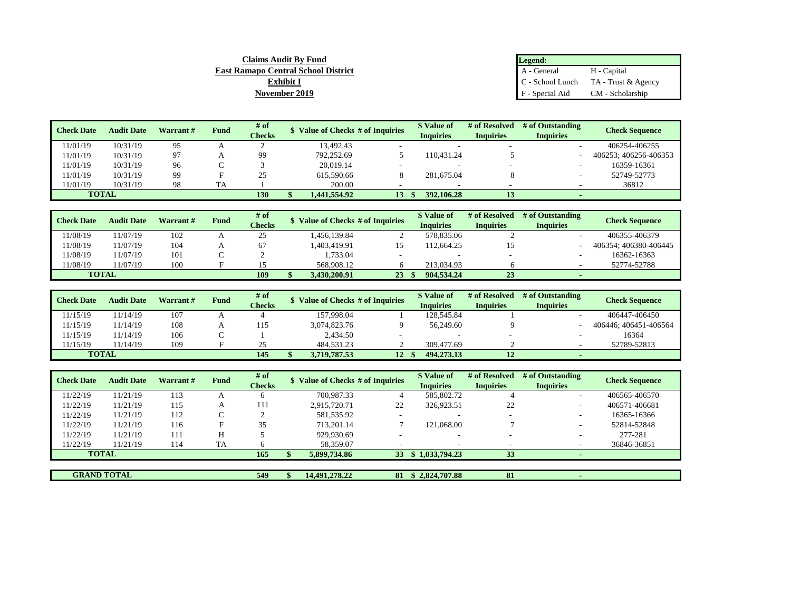| <b>Claims Audit By Fund</b>                | Legend:         |                                        |
|--------------------------------------------|-----------------|----------------------------------------|
| <b>East Ramapo Central School District</b> | A - General     | H - Capital                            |
| <b>Exhibit I</b>                           |                 | $C -$ School Lunch TA - Trust & Agency |
| November 2019                              | F - Special Aid | CM - Scholarship                       |

| <b>Check Date</b> | <b>Audit Date</b> | Warrant# | Fund | # of          | Value of Checks # of Inquiries |    | \$ Value of      | # of Resolved    | # of Outstanding | <b>Check Sequence</b> |  |
|-------------------|-------------------|----------|------|---------------|--------------------------------|----|------------------|------------------|------------------|-----------------------|--|
|                   |                   |          |      | <b>Checks</b> |                                |    | <b>Inquiries</b> | <b>Inquiries</b> | <b>Inquiries</b> |                       |  |
| 11/01/19          | 10/31/19          | 95       | A    |               | 13.492.43                      |    |                  |                  |                  | 406254-406255         |  |
| 11/01/19          | 10/31/19          | 97       |      | 99            | 792,252.69                     |    | 110.431.24       |                  |                  | 406253: 406256-406353 |  |
| 11/01/19          | 10/31/19          | 96       |      |               | 20.019.14                      |    |                  |                  |                  | 16359-16361           |  |
| 11/01/19          | 10/31/19          | 99       |      | 25            | 615,590.66                     |    | 281,675.04       |                  |                  | 52749-52773           |  |
| 11/01/19          | 10/31/19          | 98       | TA   |               | 200.00                         |    |                  |                  |                  | 36812                 |  |
| <b>TOTAL</b>      |                   |          |      | 130           | 1.441.554.92                   | 13 | 392,106.28       |                  |                  |                       |  |

| <b>Check Date</b> | <b>Audit Date</b> | Warrant # | Fund | # of          | Value of Checks # of Inquiries |    | \$ Value of | # of Resolved                        | # of Outstanding | <b>Check Sequence</b> |  |
|-------------------|-------------------|-----------|------|---------------|--------------------------------|----|-------------|--------------------------------------|------------------|-----------------------|--|
|                   |                   |           |      | <b>Checks</b> |                                |    | Inquiries   | <b>Inquiries</b><br><b>Inquiries</b> |                  |                       |  |
| 11/08/19          | 11/07/19          | 102       |      | 25            | .456.139.84                    |    | 578,835.06  |                                      |                  | 406355-406379         |  |
| 11/08/19          | 11/07/19          | 104       |      | 67            | 1.403.419.91                   | 15 | 112.664.25  |                                      |                  | 406354: 406380-406445 |  |
| 11/08/19          | 11/07/19          | 101       |      |               | 1.733.04                       |    |             |                                      |                  | 16362-16363           |  |
| 11/08/19          | 11/07/19          | 100       |      |               | 568,908.12                     |    | 213,034.93  |                                      |                  | 52774-52788           |  |
|                   | <b>TOTAL</b>      |           |      | 109           | 3.430.200.91                   | 23 | 904.534.24  | 23                                   |                  |                       |  |

| <b>Check Date</b> | <b>Audit Date</b> | Warrant# | Fund | $#$ of<br><b>Checks</b> | Value of Checks # of Inquiries |    | <i>Nalue of</i><br><b>Inquiries</b> | # of Resolved<br><b>Inquiries</b> | # of Outstanding<br><b>Inquiries</b> | <b>Check Sequence</b> |
|-------------------|-------------------|----------|------|-------------------------|--------------------------------|----|-------------------------------------|-----------------------------------|--------------------------------------|-----------------------|
| 11/15/19          | 11/14/19          | 107      |      |                         | 157,998.04                     |    | 128.545.84                          |                                   |                                      | 406447-406450         |
| 11/15/19          | 11/14/19          | 108      |      | 115                     | 3.074.823.76                   |    | 56,249.60                           |                                   |                                      | 406446: 406451-406564 |
| 11/15/19          | 11/14/19          | 106      |      |                         | 2.434.50                       |    |                                     |                                   |                                      | 16364                 |
| 11/15/19          | 11/14/19          | 109      |      | 25                      | 484,531.23                     |    | 309,477.69                          |                                   |                                      | 52789-52813           |
| <b>TOTAL</b>      |                   |          |      | 145                     | 3.719.787.53                   | 12 | 494,273.13                          |                                   |                                      |                       |

| <b>Check Date</b> | <b>Audit Date</b>  | Warrant # | <b>Fund</b> | # of<br><b>Checks</b> | Value of Checks # of Inquiries |    | \$ Value of<br><b>Inquiries</b> | # of Resolved<br><b>Inquiries</b> | # of Outstanding<br><b>Inquiries</b> | <b>Check Sequence</b> |
|-------------------|--------------------|-----------|-------------|-----------------------|--------------------------------|----|---------------------------------|-----------------------------------|--------------------------------------|-----------------------|
| 11/22/19          | 11/21/19           | 113       |             |                       | 700.987.33                     |    | 585,802.72                      |                                   |                                      | 406565-406570         |
| 11/22/19          | 11/21/19           | 115       | А           | 111                   | 2.915.720.71                   | 22 | 326,923.51                      | 22                                |                                      | 406571-406681         |
| 11/22/19          | 11/21/19           | 112       | ⌒           |                       | 581.535.92                     |    | $\overline{\phantom{a}}$        | ۰                                 |                                      | 16365-16366           |
| 11/22/19          | 11/21/19           | 116       | F           | 35                    | 713.201.14                     |    | 121,068.00                      |                                   |                                      | 52814-52848           |
| 11/22/19          | 11/21/19           | 111       | Н           |                       | 929.930.69                     | -  | $\overline{\phantom{a}}$        | ۰                                 |                                      | 277-281               |
| 11/22/19          | 11/21/19           | 114       | <b>TA</b>   |                       | 58.359.07                      |    |                                 |                                   |                                      | 36846-36851           |
|                   | <b>TOTAL</b>       |           |             | 165                   | 5,899,734.86                   | 33 | \$1,033,794.23                  | 33                                |                                      |                       |
|                   |                    |           |             |                       |                                |    |                                 |                                   |                                      |                       |
|                   | <b>GRAND TOTAL</b> |           |             | 549                   | 14.491.278.22                  | 81 | \$2.824.707.88                  | 81                                |                                      |                       |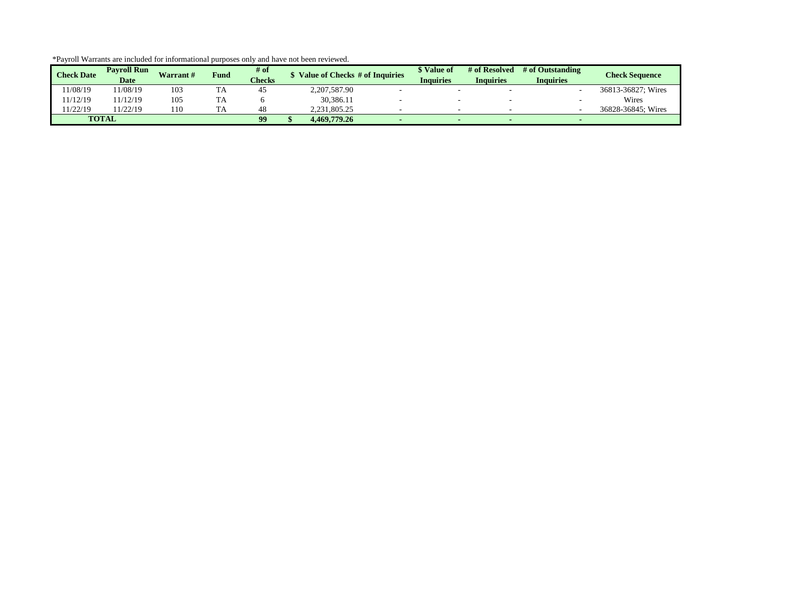| <b>Check Date</b> | <b>Pavroll Run</b><br><b>Date</b> | Warrant# | <b>Fund</b> | $#$ of<br><b>Checks</b> | Value of Checks # of Inquiries | \$ Value of<br>Inquiries | # of Resolved<br>Inquiries | # of Outstanding<br><b>Inquiries</b> | <b>Check Sequence</b> |
|-------------------|-----------------------------------|----------|-------------|-------------------------|--------------------------------|--------------------------|----------------------------|--------------------------------------|-----------------------|
| 1/08/19           | 1/08/19                           | 103      | TA          | 45                      | 2,207,587.90                   |                          |                            |                                      | 36813-36827: Wires    |
| 1/12/19           | 1/12/19                           | 105      | TA          |                         | 30.386.11                      |                          |                            |                                      | Wires                 |
| 1/22/19           | 1/22/19                           | ! 10     | <b>TA</b>   | 48                      | 2.231.805.25                   |                          |                            |                                      | 36828-36845: Wires    |
|                   | <b>TOTAL</b>                      |          |             | 99                      | 4.469.779.26                   |                          |                            |                                      |                       |

\*Payroll Warrants are included for informational purposes only and have not been reviewed.